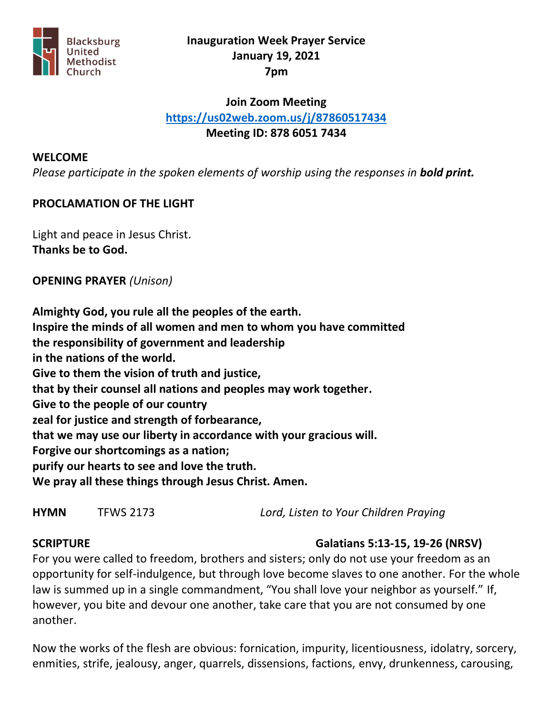

## **Inauguration Week Prayer Service January 19, 2021 7pm**

## **Join Zoom Meeting <https://us02web.zoom.us/j/87860517434> Meeting ID: 878 6051 7434**

#### **WELCOME**

*Please participate in the spoken elements of worship using the responses in bold print.*

## **PROCLAMATION OF THE LIGHT**

Light and peace in Jesus Christ. **Thanks be to God.**

#### **OPENING PRAYER** *(Unison)*

**Almighty God, you rule all the peoples of the earth. Inspire the minds of all women and men to whom you have committed the responsibility of government and leadership in the nations of the world. Give to them the vision of truth and justice, that by their counsel all nations and peoples may work together. Give to the people of our country zeal for justice and strength of forbearance, that we may use our liberty in accordance with your gracious will. Forgive our shortcomings as a nation; purify our hearts to see and love the truth. We pray all these things through Jesus Christ. Amen.**

| <b>HYMN</b> | <b>TFWS 2173</b> | Lord, Listen to Your Children Praying |
|-------------|------------------|---------------------------------------|
|-------------|------------------|---------------------------------------|

## **SCRIPTURE Galatians 5:13-15, 19-26 (NRSV)**

For you were called to freedom, brothers and sisters; only do not use your freedom as an opportunity for self-indulgence, but through love become slaves to one another. For the whole law is summed up in a single commandment, "You shall love your neighbor as yourself." If, however, you bite and devour one another, take care that you are not consumed by one another.

Now the works of the flesh are obvious: fornication, impurity, licentiousness, idolatry, sorcery, enmities, strife, jealousy, anger, quarrels, dissensions, factions, envy, drunkenness, carousing,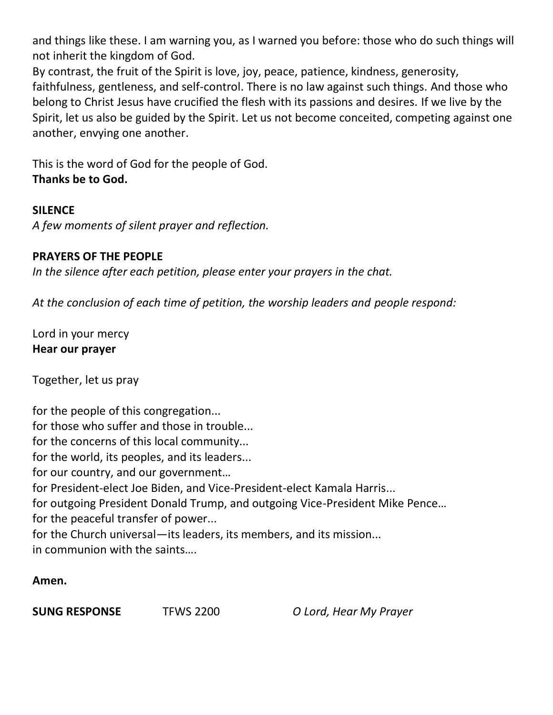and things like these. I am warning you, as I warned you before: those who do such things will not inherit the kingdom of God.

By contrast, the fruit of the Spirit is love, joy, peace, patience, kindness, generosity, faithfulness, gentleness, and self-control. There is no law against such things. And those who belong to Christ Jesus have crucified the flesh with its passions and desires. If we live by the Spirit, let us also be guided by the Spirit. Let us not become conceited, competing against one another, envying one another.

This is the word of God for the people of God. **Thanks be to God.**

## **SILENCE**

*A few moments of silent prayer and reflection.*

# **PRAYERS OF THE PEOPLE**

*In the silence after each petition, please enter your prayers in the chat.*

*At the conclusion of each time of petition, the worship leaders and people respond:*

Lord in your mercy **Hear our prayer**

Together, let us pray

for the people of this congregation... for those who suffer and those in trouble... for the concerns of this local community... for the world, its peoples, and its leaders... for our country, and our government… for President-elect Joe Biden, and Vice-President-elect Kamala Harris... for outgoing President Donald Trump, and outgoing Vice-President Mike Pence… for the peaceful transfer of power... for the Church universal—its leaders, its members, and its mission... in communion with the saints….

# **Amen.**

**SUNG RESPONSE** TFWS 2200 *O Lord, Hear My Prayer*